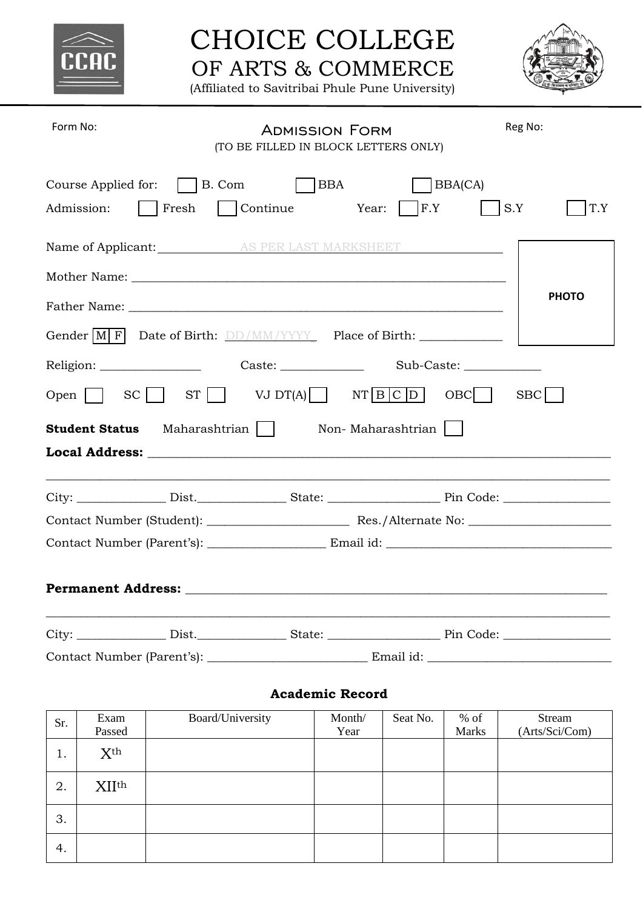

# CHOICE COLLEGE OF ARTS & COMMERCE

(Affiliated to Savitribai Phule Pune University)



| Form No:                                                                               | <b>ADMISSION FORM</b><br>(TO BE FILLED IN BLOCK LETTERS ONLY)         | Reg No:                       |  |  |
|----------------------------------------------------------------------------------------|-----------------------------------------------------------------------|-------------------------------|--|--|
| Course Applied for: $\Box$ B. Com<br>Admission:                                        | $\begin{bmatrix} \end{bmatrix}$ BBA<br>  Fresh   Continue Year:   F.Y | $\vert$ BBA(CA)<br>S.Y<br>T.Y |  |  |
|                                                                                        | Name of Applicant: AS PER LAST MARKSHEET                              |                               |  |  |
|                                                                                        |                                                                       |                               |  |  |
|                                                                                        |                                                                       | <b>PHOTO</b>                  |  |  |
| Gender $\begin{bmatrix} M & F \end{bmatrix}$ Date of Birth: DD/MM/YYYY Place of Birth: |                                                                       |                               |  |  |
|                                                                                        |                                                                       |                               |  |  |
| Open $\Box$ SC $\Box$ ST $\Box$ VJ DT(A) NT B C D<br>$OBC$  <br>SBC                    |                                                                       |                               |  |  |
| Student Status Maharashtrian<br>Non-Maharashtrian                                      |                                                                       |                               |  |  |
|                                                                                        |                                                                       |                               |  |  |
|                                                                                        |                                                                       |                               |  |  |
|                                                                                        |                                                                       |                               |  |  |
|                                                                                        |                                                                       |                               |  |  |
|                                                                                        |                                                                       |                               |  |  |
|                                                                                        |                                                                       |                               |  |  |
|                                                                                        | Contact Number (Parent's): ________________________________ Email id: |                               |  |  |

### **Academic Record**

| Sr. | Exam            | Board/University | Month/ | Seat No. | $%$ of | Stream         |
|-----|-----------------|------------------|--------|----------|--------|----------------|
|     | Passed          |                  | Year   |          | Marks  | (Arts/Sci/Com) |
| 1.  | X <sup>th</sup> |                  |        |          |        |                |
| 2.  | <b>XIIth</b>    |                  |        |          |        |                |
| 3.  |                 |                  |        |          |        |                |
| 4.  |                 |                  |        |          |        |                |